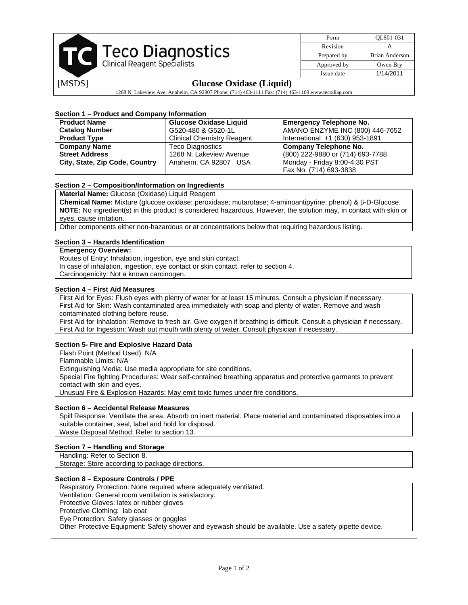| TC Teco Diagnostics                                                                                |                                   | Form        | OL801-031                        |  |  |
|----------------------------------------------------------------------------------------------------|-----------------------------------|-------------|----------------------------------|--|--|
|                                                                                                    |                                   | Revision    | A                                |  |  |
|                                                                                                    |                                   | Prepared by | <b>Brian Anderson</b>            |  |  |
|                                                                                                    |                                   | Approved by | Owen Bry                         |  |  |
|                                                                                                    |                                   | Issue date  | 1/14/2011                        |  |  |
| [MSDS]<br><b>Glucose Oxidase (Liquid)</b>                                                          |                                   |             |                                  |  |  |
| 1268 N. Lakeview Ave. Anaheim, CA 92807 Phone: (714) 463-1111 Fax: (714) 463-1169 www.tecodiag.com |                                   |             |                                  |  |  |
|                                                                                                    |                                   |             |                                  |  |  |
|                                                                                                    |                                   |             |                                  |  |  |
| Section 1 – Product and Company Information                                                        |                                   |             |                                  |  |  |
| <b>Product Name</b>                                                                                | <b>Glucose Oxidase Liquid</b>     |             | <b>Emergency Telephone No.</b>   |  |  |
| <b>Catalog Number</b>                                                                              | G520-480 & G520-1L                |             | AMANO ENZYME INC (800) 446-7652  |  |  |
| <b>Product Type</b>                                                                                | <b>Clinical Chemistry Reagent</b> |             | International +1 (630) 953-1891  |  |  |
| <b>Company Name</b>                                                                                | <b>Teco Diagnostics</b>           |             | Company Telephone No.            |  |  |
| <b>Street Address</b>                                                                              | 1268 N. Lakeview Avenue           |             | (800) 222-9880 or (714) 693-7788 |  |  |
| City, State, Zip Code, Country                                                                     | Anaheim, CA 92807 USA             |             | Monday - Friday 8:00-4:30 PST    |  |  |
|                                                                                                    |                                   |             | Fax No. (714) 693-3838           |  |  |
|                                                                                                    |                                   |             |                                  |  |  |
| Section 2 - Composition/Information on Ingredients                                                 |                                   |             |                                  |  |  |
| Material Name: Glucose (Oxidase) Liquid Reagent                                                    |                                   |             |                                  |  |  |

**Chemical Name:** Mixture (glucose oxidase; peroxidase; mutarotase; 4-aminoantipyrine; phenol) & β-D-Glucose. **NOTE:** No ingredient(s) in this product is considered hazardous. However, the solution may, in contact with skin or eyes, cause irritation.

Other components either non-hazardous or at concentrations below that requiring hazardous listing.

# **Section 3 – Hazards Identification**

### **Emergency Overview:**

Routes of Entry: Inhalation, ingestion, eye and skin contact.

In case of inhalation, ingestion, eye contact or skin contact, refer to section 4.

Carcinogenicity: Not a known carcinogen.

### **Section 4 – First Aid Measures**

First Aid for Eyes: Flush eyes with plenty of water for at least 15 minutes. Consult a physician if necessary. First Aid for Skin: Wash contaminated area immediately with soap and plenty of water. Remove and wash contaminated clothing before reuse.

First Aid for Inhalation: Remove to fresh air. Give oxygen if breathing is difficult. Consult a physician if necessary. First Aid for Ingestion: Wash out mouth with plenty of water. Consult physician if necessary.

### **Section 5- Fire and Explosive Hazard Data**

Flash Point (Method Used): N/A

Flammable Limits: N/A Extinguishing Media: Use media appropriate for site conditions.

Special Fire fighting Procedures: Wear self-contained breathing apparatus and protective garments to prevent contact with skin and eyes.

Unusual Fire & Explosion Hazards: May emit toxic fumes under fire conditions.

### **Section 6 – Accidental Release Measures**

Spill Response: Ventilate the area. Absorb on inert material. Place material and contaminated disposables into a suitable container, seal, label and hold for disposal. Waste Disposal Method: Refer to section 13.

### **Section 7 – Handling and Storage**

Handling: Refer to Section 8.

Storage: Store according to package directions.

### **Section 8 – Exposure Controls / PPE**

Respiratory Protection: None required where adequately ventilated.

Ventilation: General room ventilation is satisfactory.

Protective Gloves: latex or rubber gloves

Protective Clothing: lab coat

Eye Protection: Safety glasses or goggles

Other Protective Equipment: Safety shower and eyewash should be available. Use a safety pipette device.